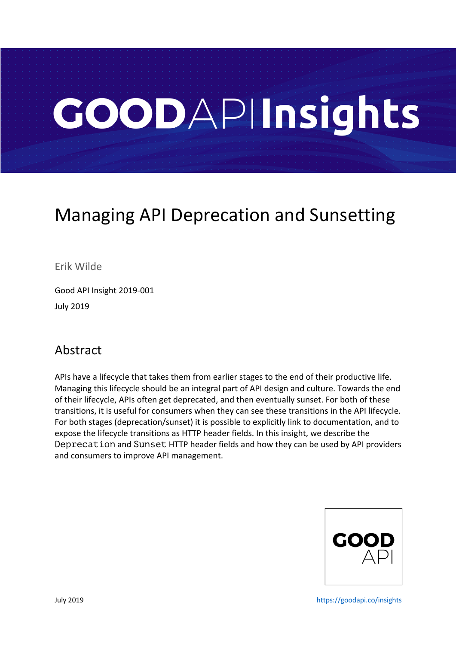# GOODAPIInsights

# Managing API Deprecation and Sunsetting

Erik Wilde

Good API Insight 2019-001 July 2019

#### Abstract

APIs have a lifecycle that takes them from earlier stages to the end of their productive life. Managing this lifecycle should be an integral part of API design and culture. Towards the end of their lifecycle, APIs often get deprecated, and then eventually sunset. For both of these transitions, it is useful for consumers when they can see these transitions in the API lifecycle. For both stages (deprecation/sunset) it is possible to explicitly link to documentation, and to expose the lifecycle transitions as HTTP header fields. In this insight, we describe the Deprecation and Sunset HTTP header fields and how they can be used by API providers and consumers to improve API management.



July 2019 https://goodapi.co/insights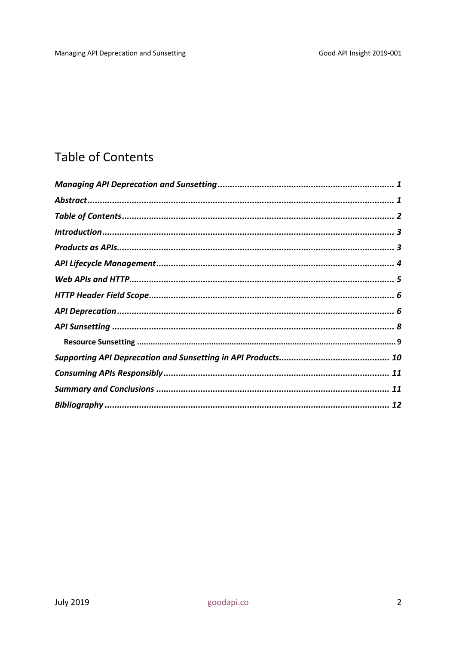## **Table of Contents**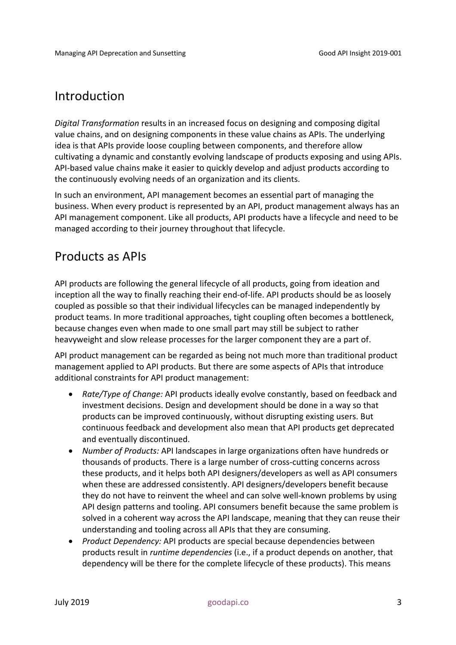#### Introduction

*Digital Transformation* results in an increased focus on designing and composing digital value chains, and on designing components in these value chains as APIs. The underlying idea is that APIs provide loose coupling between components, and therefore allow cultivating a dynamic and constantly evolving landscape of products exposing and using APIs. API-based value chains make it easier to quickly develop and adjust products according to the continuously evolving needs of an organization and its clients.

In such an environment, API management becomes an essential part of managing the business. When every product is represented by an API, product management always has an API management component. Like all products, API products have a lifecycle and need to be managed according to their journey throughout that lifecycle.

#### Products as APIs

API products are following the general lifecycle of all products, going from ideation and inception all the way to finally reaching their end-of-life. API products should be as loosely coupled as possible so that their individual lifecycles can be managed independently by product teams. In more traditional approaches, tight coupling often becomes a bottleneck, because changes even when made to one small part may still be subject to rather heavyweight and slow release processes for the larger component they are a part of.

API product management can be regarded as being not much more than traditional product management applied to API products. But there are some aspects of APIs that introduce additional constraints for API product management:

- *Rate/Type of Change:* API products ideally evolve constantly, based on feedback and investment decisions. Design and development should be done in a way so that products can be improved continuously, without disrupting existing users. But continuous feedback and development also mean that API products get deprecated and eventually discontinued.
- *Number of Products:* API landscapes in large organizations often have hundreds or thousands of products. There is a large number of cross-cutting concerns across these products, and it helps both API designers/developers as well as API consumers when these are addressed consistently. API designers/developers benefit because they do not have to reinvent the wheel and can solve well-known problems by using API design patterns and tooling. API consumers benefit because the same problem is solved in a coherent way across the API landscape, meaning that they can reuse their understanding and tooling across all APIs that they are consuming.
- *Product Dependency:* API products are special because dependencies between products result in *runtime dependencies* (i.e., if a product depends on another, that dependency will be there for the complete lifecycle of these products). This means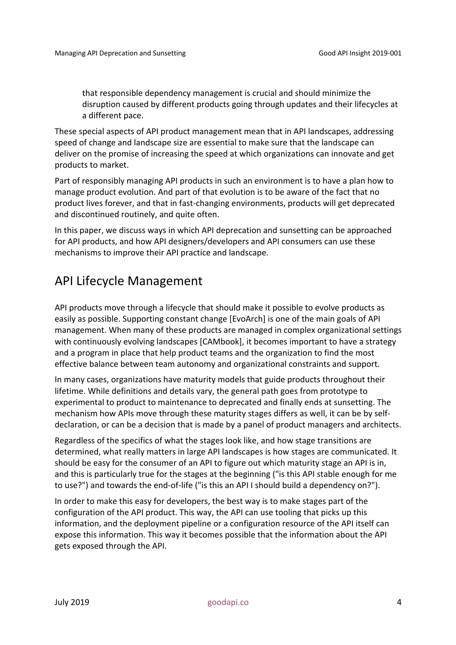that responsible dependency management is crucial and should minimize the disruption caused by different products going through updates and their lifecycles at a different pace.

These special aspects of API product management mean that in API landscapes, addressing speed of change and landscape size are essential to make sure that the landscape can deliver on the promise of increasing the speed at which organizations can innovate and get products to market.

Part of responsibly managing API products in such an environment is to have a plan how to manage product evolution. And part of that evolution is to be aware of the fact that no product lives forever, and that in fast-changing environments, products will get deprecated and discontinued routinely, and quite often.

In this paper, we discuss ways in which API deprecation and sunsetting can be approached for API products, and how API designers/developers and API consumers can use these mechanisms to improve their API practice and landscape.

#### API Lifecycle Management

API products move through a lifecycle that should make it possible to evolve products as easily as possible. Supporting constant change [EvoArch] is one of the main goals of API management. When many of these products are managed in complex organizational settings with continuously evolving landscapes [CAMbook], it becomes important to have a strategy and a program in place that help product teams and the organization to find the most effective balance between team autonomy and organizational constraints and support.

In many cases, organizations have maturity models that guide products throughout their lifetime. While definitions and details vary, the general path goes from prototype to experimental to product to maintenance to deprecated and finally ends at sunsetting. The mechanism how APIs move through these maturity stages differs as well, it can be by selfdeclaration, or can be a decision that is made by a panel of product managers and architects.

Regardless of the specifics of what the stages look like, and how stage transitions are determined, what really matters in large API landscapes is how stages are communicated. It should be easy for the consumer of an API to figure out which maturity stage an API is in, and this is particularly true for the stages at the beginning ("is this API stable enough for me to use?") and towards the end-of-life ("is this an API I should build a dependency on?").

In order to make this easy for developers, the best way is to make stages part of the configuration of the API product. This way, the API can use tooling that picks up this information, and the deployment pipeline or a configuration resource of the API itself can expose this information. This way it becomes possible that the information about the API gets exposed through the API.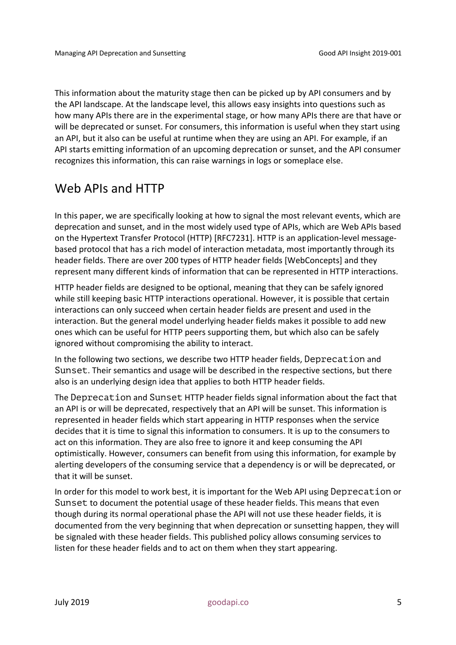This information about the maturity stage then can be picked up by API consumers and by the API landscape. At the landscape level, this allows easy insights into questions such as how many APIs there are in the experimental stage, or how many APIs there are that have or will be deprecated or sunset. For consumers, this information is useful when they start using an API, but it also can be useful at runtime when they are using an API. For example, if an API starts emitting information of an upcoming deprecation or sunset, and the API consumer recognizes this information, this can raise warnings in logs or someplace else.

#### Web APIs and HTTP

In this paper, we are specifically looking at how to signal the most relevant events, which are deprecation and sunset, and in the most widely used type of APIs, which are Web APIs based on the Hypertext Transfer Protocol (HTTP) [RFC7231]. HTTP is an application-level messagebased protocol that has a rich model of interaction metadata, most importantly through its header fields. There are over 200 types of HTTP header fields [WebConcepts] and they represent many different kinds of information that can be represented in HTTP interactions.

HTTP header fields are designed to be optional, meaning that they can be safely ignored while still keeping basic HTTP interactions operational. However, it is possible that certain interactions can only succeed when certain header fields are present and used in the interaction. But the general model underlying header fields makes it possible to add new ones which can be useful for HTTP peers supporting them, but which also can be safely ignored without compromising the ability to interact.

In the following two sections, we describe two HTTP header fields, Deprecation and Sunset. Their semantics and usage will be described in the respective sections, but there also is an underlying design idea that applies to both HTTP header fields.

The Deprecation and Sunset HTTP header fields signal information about the fact that an API is or will be deprecated, respectively that an API will be sunset. This information is represented in header fields which start appearing in HTTP responses when the service decides that it is time to signal this information to consumers. It is up to the consumers to act on this information. They are also free to ignore it and keep consuming the API optimistically. However, consumers can benefit from using this information, for example by alerting developers of the consuming service that a dependency is or will be deprecated, or that it will be sunset.

In order for this model to work best, it is important for the Web API using Deprecation or Sunset to document the potential usage of these header fields. This means that even though during its normal operational phase the API will not use these header fields, it is documented from the very beginning that when deprecation or sunsetting happen, they will be signaled with these header fields. This published policy allows consuming services to listen for these header fields and to act on them when they start appearing.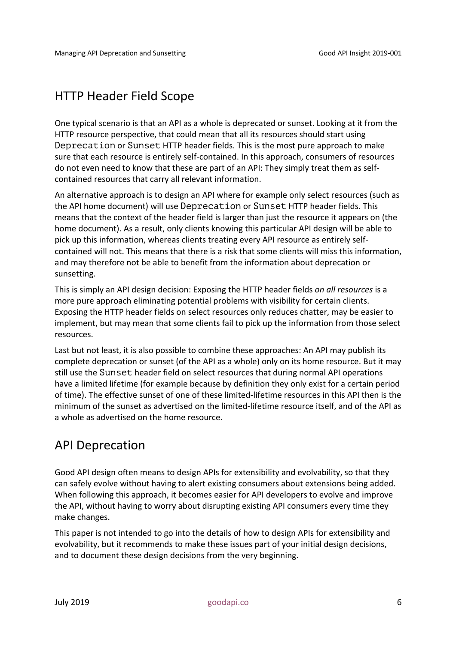#### HTTP Header Field Scope

One typical scenario is that an API as a whole is deprecated or sunset. Looking at it from the HTTP resource perspective, that could mean that all its resources should start using Deprecation or Sunset HTTP header fields. This is the most pure approach to make sure that each resource is entirely self-contained. In this approach, consumers of resources do not even need to know that these are part of an API: They simply treat them as selfcontained resources that carry all relevant information.

An alternative approach is to design an API where for example only select resources (such as the API home document) will use Deprecation or Sunset HTTP header fields. This means that the context of the header field is larger than just the resource it appears on (the home document). As a result, only clients knowing this particular API design will be able to pick up this information, whereas clients treating every API resource as entirely selfcontained will not. This means that there is a risk that some clients will miss this information, and may therefore not be able to benefit from the information about deprecation or sunsetting.

This is simply an API design decision: Exposing the HTTP header fields *on all resources* is a more pure approach eliminating potential problems with visibility for certain clients. Exposing the HTTP header fields on select resources only reduces chatter, may be easier to implement, but may mean that some clients fail to pick up the information from those select resources.

Last but not least, it is also possible to combine these approaches: An API may publish its complete deprecation or sunset (of the API as a whole) only on its home resource. But it may still use the Sunset header field on select resources that during normal API operations have a limited lifetime (for example because by definition they only exist for a certain period of time). The effective sunset of one of these limited-lifetime resources in this API then is the minimum of the sunset as advertised on the limited-lifetime resource itself, and of the API as a whole as advertised on the home resource.

#### API Deprecation

Good API design often means to design APIs for extensibility and evolvability, so that they can safely evolve without having to alert existing consumers about extensions being added. When following this approach, it becomes easier for API developers to evolve and improve the API, without having to worry about disrupting existing API consumers every time they make changes.

This paper is not intended to go into the details of how to design APIs for extensibility and evolvability, but it recommends to make these issues part of your initial design decisions, and to document these design decisions from the very beginning.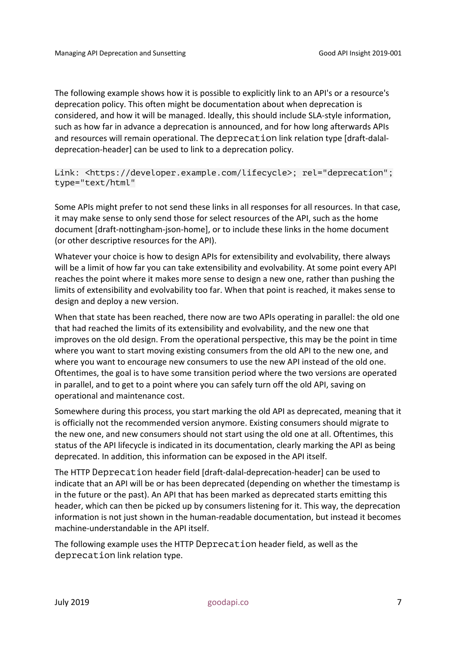The following example shows how it is possible to explicitly link to an API's or a resource's deprecation policy. This often might be documentation about when deprecation is considered, and how it will be managed. Ideally, this should include SLA-style information, such as how far in advance a deprecation is announced, and for how long afterwards APIs and resources will remain operational. The deprecation link relation type [draft-dalaldeprecation-header] can be used to link to a deprecation policy.

Link: <https://developer.example.com/lifecycle>; rel="deprecation"; type="text/html"

Some APIs might prefer to not send these links in all responses for all resources. In that case, it may make sense to only send those for select resources of the API, such as the home document [draft-nottingham-json-home], or to include these links in the home document (or other descriptive resources for the API).

Whatever your choice is how to design APIs for extensibility and evolvability, there always will be a limit of how far you can take extensibility and evolvability. At some point every API reaches the point where it makes more sense to design a new one, rather than pushing the limits of extensibility and evolvability too far. When that point is reached, it makes sense to design and deploy a new version.

When that state has been reached, there now are two APIs operating in parallel: the old one that had reached the limits of its extensibility and evolvability, and the new one that improves on the old design. From the operational perspective, this may be the point in time where you want to start moving existing consumers from the old API to the new one, and where you want to encourage new consumers to use the new API instead of the old one. Oftentimes, the goal is to have some transition period where the two versions are operated in parallel, and to get to a point where you can safely turn off the old API, saving on operational and maintenance cost.

Somewhere during this process, you start marking the old API as deprecated, meaning that it is officially not the recommended version anymore. Existing consumers should migrate to the new one, and new consumers should not start using the old one at all. Oftentimes, this status of the API lifecycle is indicated in its documentation, clearly marking the API as being deprecated. In addition, this information can be exposed in the API itself.

The HTTP Deprecation header field [draft-dalal-deprecation-header] can be used to indicate that an API will be or has been deprecated (depending on whether the timestamp is in the future or the past). An API that has been marked as deprecated starts emitting this header, which can then be picked up by consumers listening for it. This way, the deprecation information is not just shown in the human-readable documentation, but instead it becomes machine-understandable in the API itself.

The following example uses the HTTP Deprecation header field, as well as the deprecation link relation type.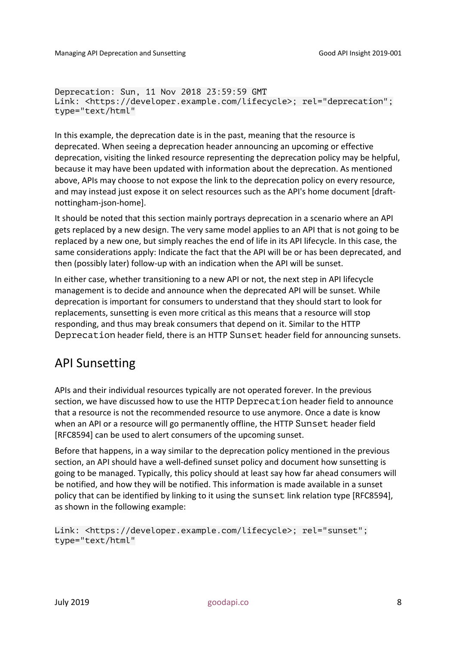Deprecation: Sun, 11 Nov 2018 23:59:59 GMT Link: <https://developer.example.com/lifecycle>; rel="deprecation"; type="text/html"

In this example, the deprecation date is in the past, meaning that the resource is deprecated. When seeing a deprecation header announcing an upcoming or effective deprecation, visiting the linked resource representing the deprecation policy may be helpful, because it may have been updated with information about the deprecation. As mentioned above, APIs may choose to not expose the link to the deprecation policy on every resource, and may instead just expose it on select resources such as the API's home document [draftnottingham-json-home].

It should be noted that this section mainly portrays deprecation in a scenario where an API gets replaced by a new design. The very same model applies to an API that is not going to be replaced by a new one, but simply reaches the end of life in its API lifecycle. In this case, the same considerations apply: Indicate the fact that the API will be or has been deprecated, and then (possibly later) follow-up with an indication when the API will be sunset.

In either case, whether transitioning to a new API or not, the next step in API lifecycle management is to decide and announce when the deprecated API will be sunset. While deprecation is important for consumers to understand that they should start to look for replacements, sunsetting is even more critical as this means that a resource will stop responding, and thus may break consumers that depend on it. Similar to the HTTP Deprecation header field, there is an HTTP Sunset header field for announcing sunsets.

#### API Sunsetting

APIs and their individual resources typically are not operated forever. In the previous section, we have discussed how to use the HTTP Deprecation header field to announce that a resource is not the recommended resource to use anymore. Once a date is know when an API or a resource will go permanently offline, the HTTP Sunset header field [RFC8594] can be used to alert consumers of the upcoming sunset.

Before that happens, in a way similar to the deprecation policy mentioned in the previous section, an API should have a well-defined sunset policy and document how sunsetting is going to be managed. Typically, this policy should at least say how far ahead consumers will be notified, and how they will be notified. This information is made available in a sunset policy that can be identified by linking to it using the sunset link relation type [RFC8594], as shown in the following example:

```
Link: <https://developer.example.com/lifecycle>; rel="sunset"; 
type="text/html"
```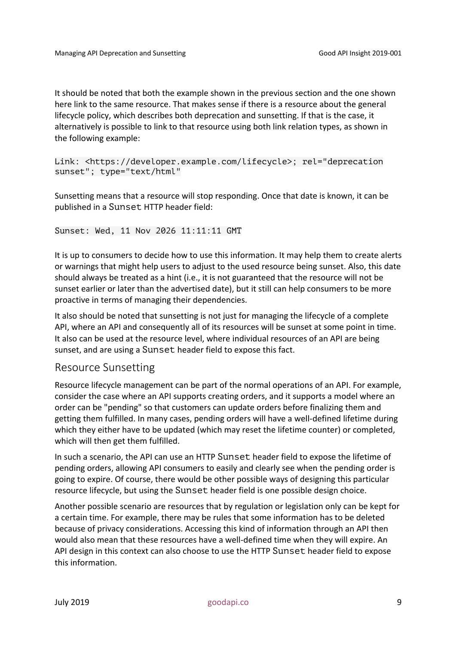It should be noted that both the example shown in the previous section and the one shown here link to the same resource. That makes sense if there is a resource about the general lifecycle policy, which describes both deprecation and sunsetting. If that is the case, it alternatively is possible to link to that resource using both link relation types, as shown in the following example:

Link: <https://developer.example.com/lifecycle>; rel="deprecation sunset"; type="text/html"

Sunsetting means that a resource will stop responding. Once that date is known, it can be published in a Sunset HTTP header field:

#### Sunset: Wed, 11 Nov 2026 11:11:11 GMT

It is up to consumers to decide how to use this information. It may help them to create alerts or warnings that might help users to adjust to the used resource being sunset. Also, this date should always be treated as a hint (i.e., it is not guaranteed that the resource will not be sunset earlier or later than the advertised date), but it still can help consumers to be more proactive in terms of managing their dependencies.

It also should be noted that sunsetting is not just for managing the lifecycle of a complete API, where an API and consequently all of its resources will be sunset at some point in time. It also can be used at the resource level, where individual resources of an API are being sunset, and are using a Sunset header field to expose this fact.

#### Resource Sunsetting

Resource lifecycle management can be part of the normal operations of an API. For example, consider the case where an API supports creating orders, and it supports a model where an order can be "pending" so that customers can update orders before finalizing them and getting them fulfilled. In many cases, pending orders will have a well-defined lifetime during which they either have to be updated (which may reset the lifetime counter) or completed, which will then get them fulfilled.

In such a scenario, the API can use an HTTP Sunset header field to expose the lifetime of pending orders, allowing API consumers to easily and clearly see when the pending order is going to expire. Of course, there would be other possible ways of designing this particular resource lifecycle, but using the Sunset header field is one possible design choice.

Another possible scenario are resources that by regulation or legislation only can be kept for a certain time. For example, there may be rules that some information has to be deleted because of privacy considerations. Accessing this kind of information through an API then would also mean that these resources have a well-defined time when they will expire. An API design in this context can also choose to use the HTTP Sunset header field to expose this information.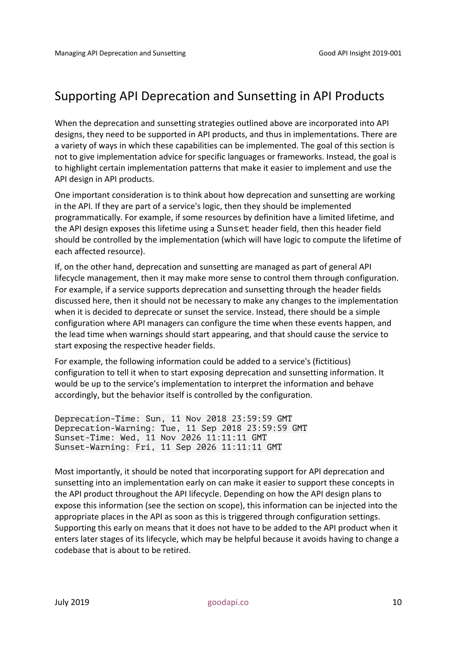### Supporting API Deprecation and Sunsetting in API Products

When the deprecation and sunsetting strategies outlined above are incorporated into API designs, they need to be supported in API products, and thus in implementations. There are a variety of ways in which these capabilities can be implemented. The goal of this section is not to give implementation advice for specific languages or frameworks. Instead, the goal is to highlight certain implementation patterns that make it easier to implement and use the API design in API products.

One important consideration is to think about how deprecation and sunsetting are working in the API. If they are part of a service's logic, then they should be implemented programmatically. For example, if some resources by definition have a limited lifetime, and the API design exposes this lifetime using a Sunset header field, then this header field should be controlled by the implementation (which will have logic to compute the lifetime of each affected resource).

If, on the other hand, deprecation and sunsetting are managed as part of general API lifecycle management, then it may make more sense to control them through configuration. For example, if a service supports deprecation and sunsetting through the header fields discussed here, then it should not be necessary to make any changes to the implementation when it is decided to deprecate or sunset the service. Instead, there should be a simple configuration where API managers can configure the time when these events happen, and the lead time when warnings should start appearing, and that should cause the service to start exposing the respective header fields.

For example, the following information could be added to a service's (fictitious) configuration to tell it when to start exposing deprecation and sunsetting information. It would be up to the service's implementation to interpret the information and behave accordingly, but the behavior itself is controlled by the configuration.

Deprecation-Time: Sun, 11 Nov 2018 23:59:59 GMT Deprecation-Warning: Tue, 11 Sep 2018 23:59:59 GMT Sunset-Time: Wed, 11 Nov 2026 11:11:11 GMT Sunset-Warning: Fri, 11 Sep 2026 11:11:11 GMT

Most importantly, it should be noted that incorporating support for API deprecation and sunsetting into an implementation early on can make it easier to support these concepts in the API product throughout the API lifecycle. Depending on how the API design plans to expose this information (see the section on scope), this information can be injected into the appropriate places in the API as soon as this is triggered through configuration settings. Supporting this early on means that it does not have to be added to the API product when it enters later stages of its lifecycle, which may be helpful because it avoids having to change a codebase that is about to be retired.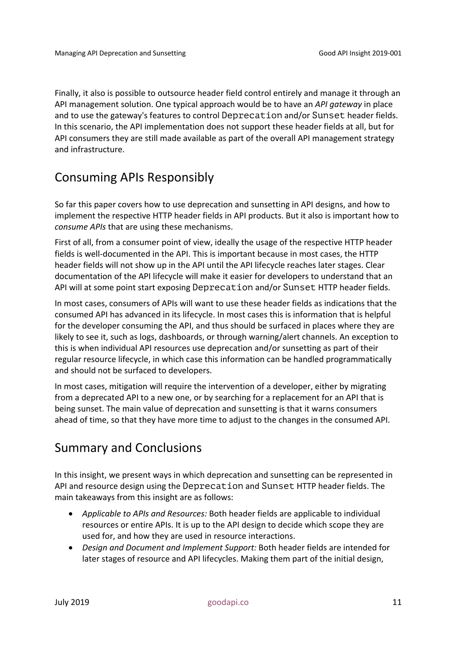Finally, it also is possible to outsource header field control entirely and manage it through an API management solution. One typical approach would be to have an *API gateway* in place and to use the gateway's features to control Deprecation and/or Sunset header fields. In this scenario, the API implementation does not support these header fields at all, but for API consumers they are still made available as part of the overall API management strategy and infrastructure.

#### Consuming APIs Responsibly

So far this paper covers how to use deprecation and sunsetting in API designs, and how to implement the respective HTTP header fields in API products. But it also is important how to *consume APIs* that are using these mechanisms.

First of all, from a consumer point of view, ideally the usage of the respective HTTP header fields is well-documented in the API. This is important because in most cases, the HTTP header fields will not show up in the API until the API lifecycle reaches later stages. Clear documentation of the API lifecycle will make it easier for developers to understand that an API will at some point start exposing Deprecation and/or Sunset HTTP header fields.

In most cases, consumers of APIs will want to use these header fields as indications that the consumed API has advanced in its lifecycle. In most cases this is information that is helpful for the developer consuming the API, and thus should be surfaced in places where they are likely to see it, such as logs, dashboards, or through warning/alert channels. An exception to this is when individual API resources use deprecation and/or sunsetting as part of their regular resource lifecycle, in which case this information can be handled programmatically and should not be surfaced to developers.

In most cases, mitigation will require the intervention of a developer, either by migrating from a deprecated API to a new one, or by searching for a replacement for an API that is being sunset. The main value of deprecation and sunsetting is that it warns consumers ahead of time, so that they have more time to adjust to the changes in the consumed API.

#### Summary and Conclusions

In this insight, we present ways in which deprecation and sunsetting can be represented in API and resource design using the Deprecation and Sunset HTTP header fields. The main takeaways from this insight are as follows:

- *Applicable to APIs and Resources:* Both header fields are applicable to individual resources or entire APIs. It is up to the API design to decide which scope they are used for, and how they are used in resource interactions.
- *Design and Document and Implement Support:* Both header fields are intended for later stages of resource and API lifecycles. Making them part of the initial design,